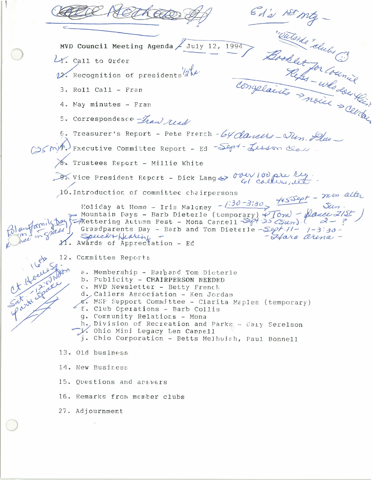Ed's 1st mg -The BELE MVD Council Meeting Agenda / July 12, 1994 LY. Call to Order 12. Recognition of presidents 2 be 3. Roll Call - Fran 4. May minutes - Fran 5. Correspondence Fran real 6. Treasurer's Report - Pete French - 64 dancers - Ten. Alus GS (m) Fxecutive Committee Report - Ed -Sep+- Lesson class 8. Trustees Report - Millie White Of vice President Report - Dick Lang & over 100 pre leg. Foliday at Home - Iris Maloney -  $1.30 - 3130$  +  $4550$  -  $710$  alter 10. Introduction of committee chairpersons Mountain Pays - Barb Dieterle (temporary)  $\sqrt{10m}$  - plance 2/51<br>Rettering Autumn Fest - Mona Cannell Sept 25 (Sum). authornity Day in grass Grandparents Day - Barb and Tom Dieterle  $-S99f$ -//-  $7-333$ SpeechtHeating -<br>11. Awards of Appreciation - Ed - Hara arena -12. Committee Reports a. Membership - Barbard Tom Dieterle b. Publicity - CHAIRPERSON NEEDED c. MVD Newsletter - Betty French d. Callers Association - Ken Jordan e. MSP Support Committee - Clarita Maples (temporary) f. Club Operations - Barb Collis g. Community Relations - Mona h., Division of Recreation and Parks - Cary Serelson  $\gamma$ . Ohio Mini Legacy Len Cannell j. Chio Corporation - Betts Melhuish, Paul Bonnell 13. Old business 14. New Business 15. Questions and answers 16. Remarks from member clubs 27. Adjournment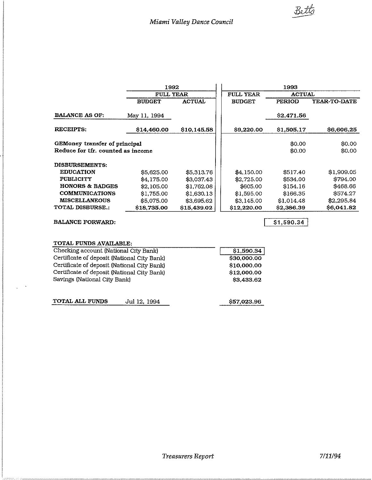|                                   | 1992             |             | 1993             |               |                     |
|-----------------------------------|------------------|-------------|------------------|---------------|---------------------|
|                                   | <b>FULL YEAR</b> |             | <b>FULL YEAR</b> | <b>ACTUAL</b> |                     |
|                                   | <b>BUDGET</b>    | ACTUAL      | <b>BUDGET</b>    | PERIOD        | <b>YEAR-TO-DATE</b> |
| <b>BALANCE AS OF:</b>             | May 11, 1994     |             |                  | \$2,471.56    |                     |
| <b>RECEIPTS:</b>                  | \$14,460.00      | \$10,145.58 | \$9,220.00       | \$1,505.17    | \$6,606.25          |
| GEMoney transfer of principal     |                  |             |                  | \$0.00        | \$0.00              |
| Reduce for tfr. counted as income |                  |             |                  | \$0.00        | \$0.00              |
| <b>DISBURSEMENTS:</b>             |                  |             |                  |               |                     |
| <b>EDUCATION</b>                  | \$5,625,00       | \$5,313.76  | \$4,150.00       | \$517.40      | \$1,909.05          |
| <b>PUBLICITY</b>                  | \$4,175.00       | \$3,037.43  | \$2,725.00       | \$534.00      | \$794.00            |
| <b>HONORS &amp; BADGES</b>        | \$2,105.00       | \$1,762.08  | \$605.00         | \$154.16      | \$468.66            |
| <b>COMMUNICATIONS</b>             | \$1,755.00       | \$1,630.13  | \$1,595.00       | \$166.35      | \$574.27            |
| <b>MISCELLANEOUS</b>              | \$5,075.00       | \$3,695.62  | \$3,145.00       | \$1,014.48    | \$2,295.84          |
| <b>TOTAL DISBURSE.:</b>           | \$18,735,00      | \$15,439.02 | \$12,220.00      | \$2,386.39    | \$6,041.82          |
| <b>BALANCE FORWARD:</b>           |                  |             |                  | \$1,590.34    |                     |

| TOTAL FUNDS AVAILABLE:                      |              |             |
|---------------------------------------------|--------------|-------------|
| Checking account (National City Bank)       |              | \$1,590.34  |
| Certificate of deposit (National City Bank) |              | \$30,000.00 |
| Certificate of deposit (National City Bank) |              | \$10,000.00 |
| Certificate of deposit (National City Bank) |              | \$12,000.00 |
| Savings (National City Bank)                |              | \$3,433.62  |
| <b>TOTAL ALL FUNDS</b>                      | Jul 12, 1994 | \$57,023.96 |

l, l,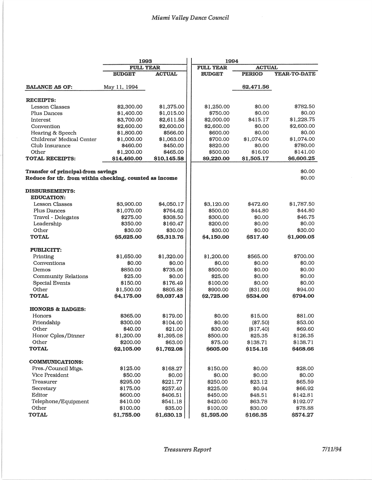|                                                         | 1993                      |                         | 1994                   |                                   |                        |  |
|---------------------------------------------------------|---------------------------|-------------------------|------------------------|-----------------------------------|------------------------|--|
|                                                         |                           | <b>FULL YEAR</b>        |                        | <b>FULL YEAR</b><br><b>ACTUAL</b> |                        |  |
|                                                         | <b>BUDGET</b>             | <b>ACTUAL</b>           | <b>BUDGET</b>          | <b>PERIOD</b>                     | YEAR-TO-DATE           |  |
| <b>BALANCE AS OF:</b>                                   | May 11, 1994              |                         |                        | \$2,471.56                        |                        |  |
|                                                         |                           |                         |                        |                                   |                        |  |
| <b>RECEIPTS:</b>                                        |                           |                         |                        |                                   |                        |  |
| <b>Lesson Classes</b>                                   | \$2,300.00                | \$1,375.00              | \$1,250.00             | \$0.00                            | \$782.50               |  |
| Plus Dances                                             | \$1,400.00                | \$1,015.00              | \$750.00               | \$0.00                            | \$0.00                 |  |
| Interest                                                | \$3,700.00                | \$2,611.58              | \$2,000.00             | \$415.17                          | \$1,228.75             |  |
| Convention                                              | \$2,600.00                | \$2,600.00              | \$2,600.00             | \$0.00                            | \$2,600.00             |  |
| Hearing & Speech                                        | \$1,800.00                | \$566.00                | \$600.00               | \$0.00                            | \$0.00                 |  |
| Childrens' Medical Center                               | \$1,000.00                | \$1,063.00              | \$700.00               | \$1,074.00                        | \$1,074.00             |  |
| Club Insurance                                          | \$460.00                  | \$450.00                | \$820.00               | \$0.00                            | \$780.00               |  |
| Other<br><b>TOTAL RECEIPTS:</b>                         | \$1,200.00<br>\$14,460.00 | \$465.00<br>\$10,145.58 | \$500.00<br>\$9,220.00 | \$16.00<br>\$1,505.17             | \$141.00<br>\$6,606.25 |  |
| Transfer of principal-from savings                      |                           |                         |                        |                                   | \$0.00                 |  |
| Reduce for tfr. from within checking, counted as income |                           |                         |                        |                                   | \$0.00                 |  |
| <b>DISBURSEMENTS:</b><br><b>EDUCATION:</b>              |                           |                         |                        |                                   |                        |  |
| <b>Lesson Classes</b>                                   | \$3,900.00                | \$4,050.17              | \$3,120.00             | \$472.60                          | \$1,787.50             |  |
| Plus Dances                                             | \$1,070.00                | \$764.62                | \$500.00               | \$44.80                           | \$44.80                |  |
| Travel - Delegates                                      | \$275.00                  | \$308.50                | \$300.00               | \$0.00                            | \$46.75                |  |
| Leadership                                              | \$350.00                  | \$160.47                | \$200.00               | \$0.00                            | \$0.00                 |  |
| Other                                                   | \$30.00                   | \$30.00                 | \$30.00                | \$0.00                            | \$30.00                |  |
| <b>TOTAL</b>                                            | \$5,625.00                | \$5,313.76              | \$4,150.00             | \$517.40                          | \$1,909.05             |  |
| <b>PUBLICITY:</b>                                       |                           |                         |                        |                                   |                        |  |
| Printing                                                | \$1,650.00                | \$1,320.00              | \$1,200.00             | \$565.00                          | \$700.00               |  |
| Conventions                                             | \$0.00                    | \$0.00                  | \$0.00                 | \$0.00                            | \$0.00                 |  |
| Demos                                                   | \$850.00                  | \$735.06                | \$500.00               | \$0.00                            | \$0.00                 |  |
| <b>Community Relations</b>                              | \$25.00                   | \$0.00                  | \$25.00                | \$0.00                            | \$0.00                 |  |
| <b>Special Events</b>                                   | \$150.00                  | \$176.49                | \$100.00               | \$0.00                            | \$0.00                 |  |
| Other                                                   | \$1,500.00                | \$805.88                | \$900.00               | (\$31.00)                         | \$94.00                |  |
| <b>TOTAL</b>                                            | \$4,175.00                | \$3,037.43              | \$2,725.00             | \$534.00                          | \$794.00               |  |
| <b>HONORS &amp; BADGES:</b>                             |                           |                         |                        |                                   |                        |  |
| Honors                                                  | \$365.00                  | \$179.00                | \$0.00                 | \$15.00                           | \$81.00                |  |
| Friendship                                              | \$300.00                  | \$104.00                | \$0.00                 | (\$7.50)                          | \$53.00                |  |
| Other                                                   | \$40.00                   | \$21.00                 | \$30.00                | (\$17.40)                         | \$69.60                |  |
| Honor Cples/Dinner                                      | \$1,200.00                | \$1,395.08              | \$500.00               | \$25.35                           | \$126.35               |  |
| Other                                                   | \$200.00                  | \$63.00                 | \$75.00                | \$138.71                          | \$138.71               |  |
| <b>TOTAL</b>                                            | \$2,105.00                | \$1,762.08              | \$605.00               | \$154.16                          | \$468.66               |  |
| <b>COMMUNICATIONS:</b>                                  |                           |                         |                        |                                   |                        |  |
| Pres./Council Mtgs.                                     | \$125.00                  | \$168.27                | \$150.00               | \$0.00                            | \$28.00                |  |
| Vice President                                          | \$50.00                   | \$0.00                  | \$0.00                 | \$0.00                            | \$0.00                 |  |
| Treasurer                                               | \$295.00                  | \$221.77                | \$250.00               | \$23.12                           | \$65.59                |  |
| Secretary                                               | \$175.00                  | \$257.40                | \$225.00               | \$0.94                            | \$66.92                |  |
| Editor                                                  | \$600.00                  | \$406.51                | \$450.00               | \$48.51                           | \$142.81               |  |
| Telephone/Equipment                                     | \$410.00                  | \$541.18                | \$420.00               | \$63.78                           | \$192.07               |  |
| Other                                                   | \$100.00                  | \$35.00                 | \$100.00               | \$30.00                           | \$78.88                |  |
| <b>TOTAL</b>                                            | \$1,755.00                | \$1,630.13              | \$1,595.00             | \$166.35                          | \$574.27               |  |